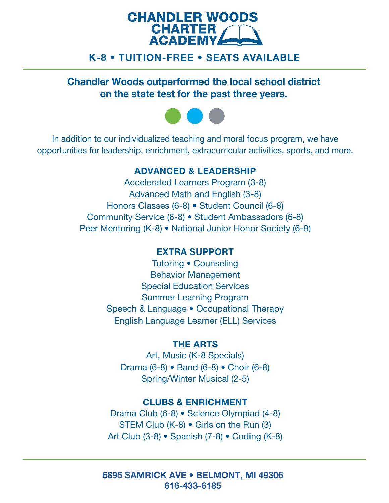

## K-8 • TUITION-FREE • SEATS AVAILABLE

Chandler Woods outperformed the local school district on the state test for the past three years.



In addition to our individualized teaching and moral focus program, we have opportunities for leadership, enrichment, extracurricular activities, sports, and more.

### ADVANCED & LEADERSHIP

 Honors Classes (6-8) • Student Council (6-8) Accelerated Learners Program (3-8) Advanced Math and English (3-8) Community Service (6-8) • Student Ambassadors (6-8) Peer Mentoring (K-8) • National Junior Honor Society (6-8)

# EXTRA SUPPORT

Tutoring • Counseling Behavior Management Special Education Services Summer Learning Program Speech & Language • Occupational Therapy English Language Learner (ELL) Services

#### THE ARTS

Art, Music (K-8 Specials) Drama (6-8) • Band (6-8) • Choir (6-8) Spring/Winter Musical (2-5)

#### CLUBS & ENRICHMENT

Drama Club (6-8) • Science Olympiad (4-8) STEM Club (K-8) • Girls on the Run (3) Art Club (3-8) • Spanish (7-8) • Coding (K-8)

6895 SAMRICK AVE • BELMONT, MI 49306 616-433-6185